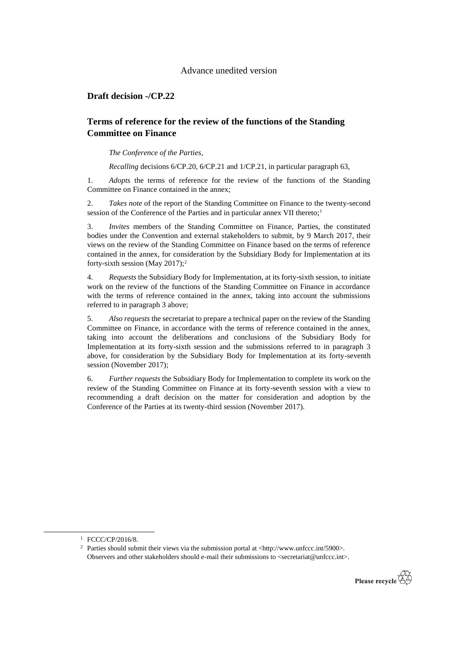#### Advance unedited version

## **Draft decision -/CP.22**

# **Terms of reference for the review of the functions of the Standing Committee on Finance**

*The Conference of the Parties*,

*Recalling* decisions 6/CP.20, 6/CP.21 and 1/CP.21, in particular paragraph 63,

1. *Adopts* the terms of reference for the review of the functions of the Standing Committee on Finance contained in the annex;

2. *Takes note* of the report of the Standing Committee on Finance to the twenty-second session of the Conference of the Parties and in particular annex VII thereto;<sup>1</sup>

3. *Invites* members of the Standing Committee on Finance, Parties, the constituted bodies under the Convention and external stakeholders to submit, by 9 March 2017, their views on the review of the Standing Committee on Finance based on the terms of reference contained in the annex, for consideration by the Subsidiary Body for Implementation at its forty-sixth session (May 2017);<sup>2</sup>

4. *Requests* the Subsidiary Body for Implementation, at its forty-sixth session, to initiate work on the review of the functions of the Standing Committee on Finance in accordance with the terms of reference contained in the annex, taking into account the submissions referred to in paragraph 3 above;

5. *Also requests* the secretariat to prepare a technical paper on the review of the Standing Committee on Finance, in accordance with the terms of reference contained in the annex, taking into account the deliberations and conclusions of the Subsidiary Body for Implementation at its forty-sixth session and the submissions referred to in paragraph 3 above, for consideration by the Subsidiary Body for Implementation at its forty-seventh session (November 2017);

6. *Further requests* the Subsidiary Body for Implementation to complete its work on the review of the Standing Committee on Finance at its forty-seventh session with a view to recommending a draft decision on the matter for consideration and adoption by the Conference of the Parties at its twenty-third session (November 2017).

-

<sup>2</sup> Parties should submit their views via the submission portal at <http://www.unfccc.int/5900>. Observers and other stakeholders should e-mail their submissions to <secretariat@unfccc.int>.



<sup>1</sup> FCCC/CP/2016/8.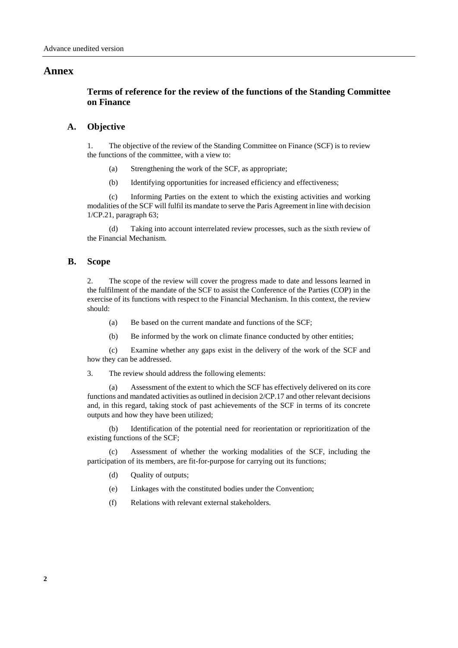#### **Annex**

# **Terms of reference for the review of the functions of the Standing Committee on Finance**

#### **A. Objective**

1. The objective of the review of the Standing Committee on Finance (SCF) is to review the functions of the committee, with a view to:

- (a) Strengthening the work of the SCF, as appropriate;
- (b) Identifying opportunities for increased efficiency and effectiveness;

(c) Informing Parties on the extent to which the existing activities and working modalities of the SCF will fulfil its mandate to serve the Paris Agreement in line with decision 1/CP.21, paragraph 63;

(d) Taking into account interrelated review processes, such as the sixth review of the Financial Mechanism.

#### **B. Scope**

2. The scope of the review will cover the progress made to date and lessons learned in the fulfilment of the mandate of the SCF to assist the Conference of the Parties (COP) in the exercise of its functions with respect to the Financial Mechanism. In this context, the review should:

- (a) Be based on the current mandate and functions of the SCF;
- (b) Be informed by the work on climate finance conducted by other entities;

(c) Examine whether any gaps exist in the delivery of the work of the SCF and how they can be addressed.

3. The review should address the following elements:

(a) Assessment of the extent to which the SCF has effectively delivered on its core functions and mandated activities as outlined in decision 2/CP.17 and other relevant decisions and, in this regard, taking stock of past achievements of the SCF in terms of its concrete outputs and how they have been utilized;

(b) Identification of the potential need for reorientation or reprioritization of the existing functions of the SCF;

(c) Assessment of whether the working modalities of the SCF, including the participation of its members, are fit-for-purpose for carrying out its functions;

- (d) Quality of outputs;
- (e) Linkages with the constituted bodies under the Convention;
- (f) Relations with relevant external stakeholders.